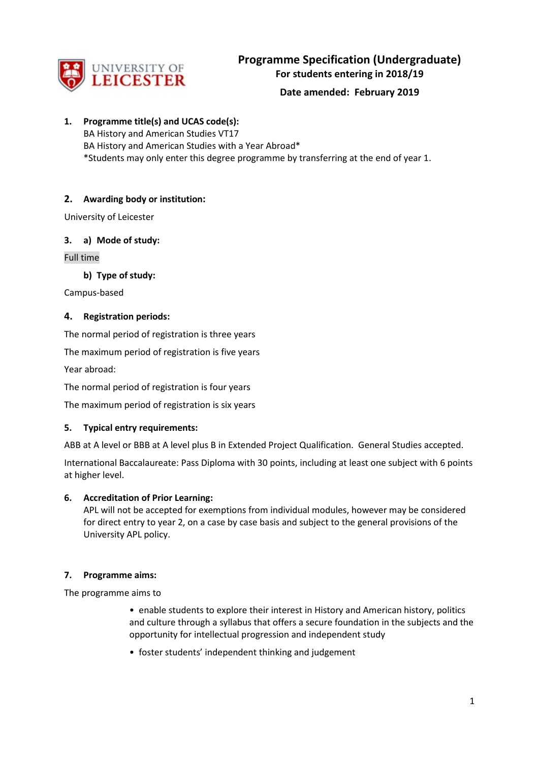

# **Date amended: February 2019**

**1. Programme title(s) and UCAS code(s):** BA History and American Studies VT17 BA History and American Studies with a Year Abroad\* \*Students may only enter this degree programme by transferring at the end of year 1.

# **2. Awarding body or institution:**

University of Leicester

### **3. a) Mode of study:**

Full time

**b) Type of study:**

Campus-based

### **4. Registration periods:**

The normal period of registration is three years

The maximum period of registration is five years

Year abroad:

The normal period of registration is four years

The maximum period of registration is six years

### **5. Typical entry requirements:**

ABB at A level or BBB at A level plus B in Extended Project Qualification. General Studies accepted.

International Baccalaureate: Pass Diploma with 30 points, including at least one subject with 6 points at higher level.

### **6. Accreditation of Prior Learning:**

APL will not be accepted for exemptions from individual modules, however may be considered for direct entry to year 2, on a case by case basis and subject to the general provisions of the University APL policy.

### **7. Programme aims:**

The programme aims to

- enable students to explore their interest in History and American history, politics and culture through a syllabus that offers a secure foundation in the subjects and the opportunity for intellectual progression and independent study
- foster students' independent thinking and judgement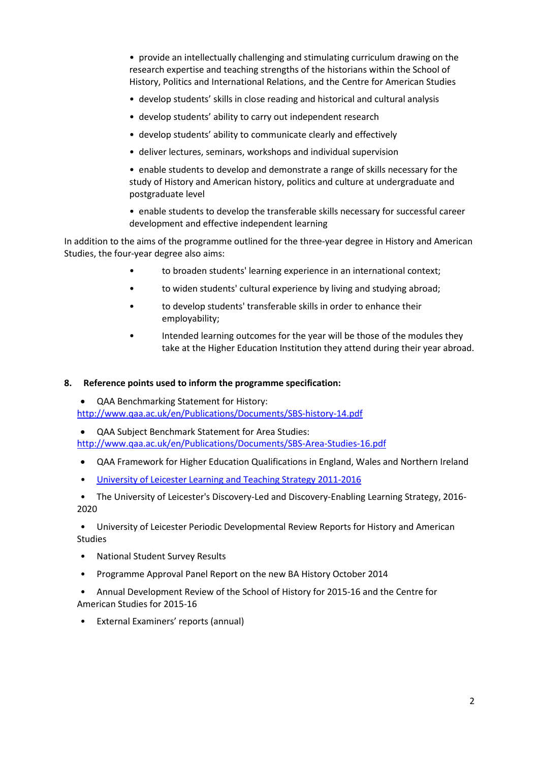• provide an intellectually challenging and stimulating curriculum drawing on the research expertise and teaching strengths of the historians within the School of History, Politics and International Relations, and the Centre for American Studies

- develop students' skills in close reading and historical and cultural analysis
- develop students' ability to carry out independent research
- develop students' ability to communicate clearly and effectively
- deliver lectures, seminars, workshops and individual supervision

• enable students to develop and demonstrate a range of skills necessary for the study of History and American history, politics and culture at undergraduate and postgraduate level

• enable students to develop the transferable skills necessary for successful career development and effective independent learning

In addition to the aims of the programme outlined for the three-year degree in History and American Studies, the four-year degree also aims:

- to broaden students' learning experience in an international context;
- to widen students' cultural experience by living and studying abroad;
- to develop students' transferable skills in order to enhance their employability;
- Intended learning outcomes for the year will be those of the modules they take at the Higher Education Institution they attend during their year abroad.

### **8. Reference points used to inform the programme specification:**

• QAA Benchmarking Statement for History: <http://www.qaa.ac.uk/en/Publications/Documents/SBS-history-14.pdf>

• QAA Subject Benchmark Statement for Area Studies: <http://www.qaa.ac.uk/en/Publications/Documents/SBS-Area-Studies-16.pdf>

- QAA Framework for Higher Education Qualifications in England, Wales and Northern Ireland
- [University of Leicester Learning and Teaching Strategy 2011-2016](http://www2.le.ac.uk/offices/sas2/quality/learnteach)

• The University of Leicester's Discovery-Led and Discovery-Enabling Learning Strategy, 2016- 2020

• University of Leicester Periodic Developmental Review Reports for History and American Studies

- National Student Survey Results
- Programme Approval Panel Report on the new BA History October 2014
- Annual Development Review of the School of History for 2015-16 and the Centre for American Studies for 2015-16
- External Examiners' reports (annual)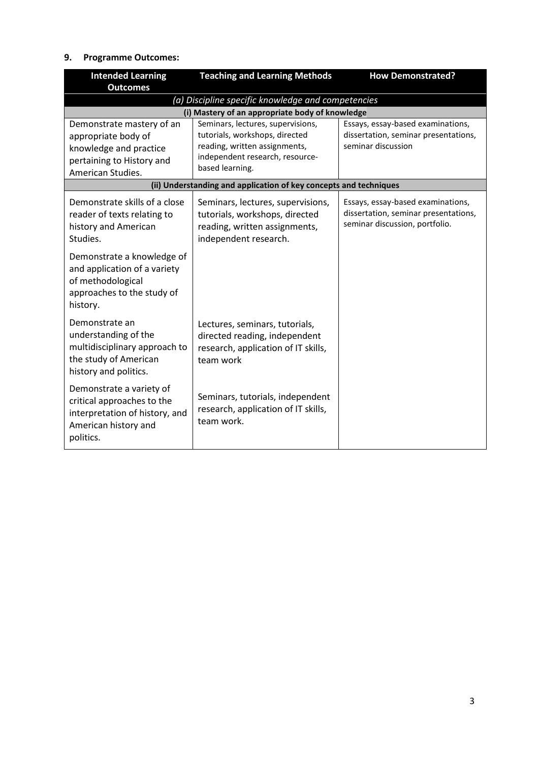# **9. Programme Outcomes:**

| <b>Intended Learning</b>                                                                                                      | <b>Teaching and Learning Methods</b>                                                                                          | <b>How Demonstrated?</b>                                                                                    |
|-------------------------------------------------------------------------------------------------------------------------------|-------------------------------------------------------------------------------------------------------------------------------|-------------------------------------------------------------------------------------------------------------|
| <b>Outcomes</b>                                                                                                               |                                                                                                                               |                                                                                                             |
|                                                                                                                               | (a) Discipline specific knowledge and competencies                                                                            |                                                                                                             |
| Demonstrate mastery of an                                                                                                     | (i) Mastery of an appropriate body of knowledge<br>Seminars, lectures, supervisions,                                          | Essays, essay-based examinations,                                                                           |
| appropriate body of                                                                                                           | tutorials, workshops, directed                                                                                                | dissertation, seminar presentations,<br>seminar discussion                                                  |
| knowledge and practice                                                                                                        | reading, written assignments,<br>independent research, resource-                                                              |                                                                                                             |
| pertaining to History and<br>American Studies.                                                                                | based learning.                                                                                                               |                                                                                                             |
|                                                                                                                               | (ii) Understanding and application of key concepts and techniques                                                             |                                                                                                             |
| Demonstrate skills of a close<br>reader of texts relating to<br>history and American<br>Studies.                              | Seminars, lectures, supervisions,<br>tutorials, workshops, directed<br>reading, written assignments,<br>independent research. | Essays, essay-based examinations,<br>dissertation, seminar presentations,<br>seminar discussion, portfolio. |
| Demonstrate a knowledge of<br>and application of a variety<br>of methodological<br>approaches to the study of<br>history.     |                                                                                                                               |                                                                                                             |
| Demonstrate an<br>understanding of the<br>multidisciplinary approach to<br>the study of American<br>history and politics.     | Lectures, seminars, tutorials,<br>directed reading, independent<br>research, application of IT skills,<br>team work           |                                                                                                             |
| Demonstrate a variety of<br>critical approaches to the<br>interpretation of history, and<br>American history and<br>politics. | Seminars, tutorials, independent<br>research, application of IT skills,<br>team work.                                         |                                                                                                             |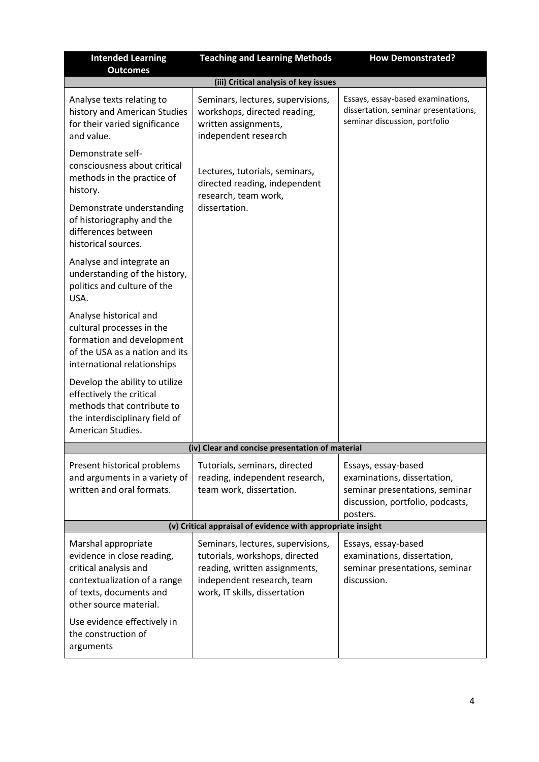| <b>Intended Learning</b><br><b>Outcomes</b>                                                                                                                                                    | <b>Teaching and Learning Methods</b>                                                                                                                                | <b>How Demonstrated?</b>                                                                                                             |  |
|------------------------------------------------------------------------------------------------------------------------------------------------------------------------------------------------|---------------------------------------------------------------------------------------------------------------------------------------------------------------------|--------------------------------------------------------------------------------------------------------------------------------------|--|
|                                                                                                                                                                                                | (iii) Critical analysis of key issues                                                                                                                               |                                                                                                                                      |  |
| Analyse texts relating to<br>history and American Studies<br>for their varied significance<br>and value.                                                                                       | Seminars, lectures, supervisions,<br>workshops, directed reading,<br>written assignments,<br>independent research                                                   | Essays, essay-based examinations,<br>dissertation, seminar presentations,<br>seminar discussion, portfolio                           |  |
| Demonstrate self-<br>consciousness about critical<br>methods in the practice of<br>history.                                                                                                    | Lectures, tutorials, seminars,<br>directed reading, independent<br>research, team work,                                                                             |                                                                                                                                      |  |
| Demonstrate understanding<br>of historiography and the<br>differences between<br>historical sources.                                                                                           | dissertation.                                                                                                                                                       |                                                                                                                                      |  |
| Analyse and integrate an<br>understanding of the history,<br>politics and culture of the<br>USA.                                                                                               |                                                                                                                                                                     |                                                                                                                                      |  |
| Analyse historical and<br>cultural processes in the<br>formation and development<br>of the USA as a nation and its<br>international relationships                                              |                                                                                                                                                                     |                                                                                                                                      |  |
| Develop the ability to utilize<br>effectively the critical<br>methods that contribute to<br>the interdisciplinary field of<br>American Studies.                                                |                                                                                                                                                                     |                                                                                                                                      |  |
|                                                                                                                                                                                                | (iv) Clear and concise presentation of material                                                                                                                     |                                                                                                                                      |  |
| Present historical problems<br>and arguments in a variety of<br>written and oral formats.                                                                                                      | Tutorials, seminars, directed<br>reading, independent research,<br>team work, dissertation.                                                                         | Essays, essay-based<br>examinations, dissertation,<br>seminar presentations, seminar<br>discussion, portfolio, podcasts,<br>posters. |  |
| (v) Critical appraisal of evidence with appropriate insight                                                                                                                                    |                                                                                                                                                                     |                                                                                                                                      |  |
| Marshal appropriate<br>evidence in close reading,<br>critical analysis and<br>contextualization of a range<br>of texts, documents and<br>other source material.<br>Use evidence effectively in | Seminars, lectures, supervisions,<br>tutorials, workshops, directed<br>reading, written assignments,<br>independent research, team<br>work, IT skills, dissertation | Essays, essay-based<br>examinations, dissertation,<br>seminar presentations, seminar<br>discussion.                                  |  |
| the construction of<br>arguments                                                                                                                                                               |                                                                                                                                                                     |                                                                                                                                      |  |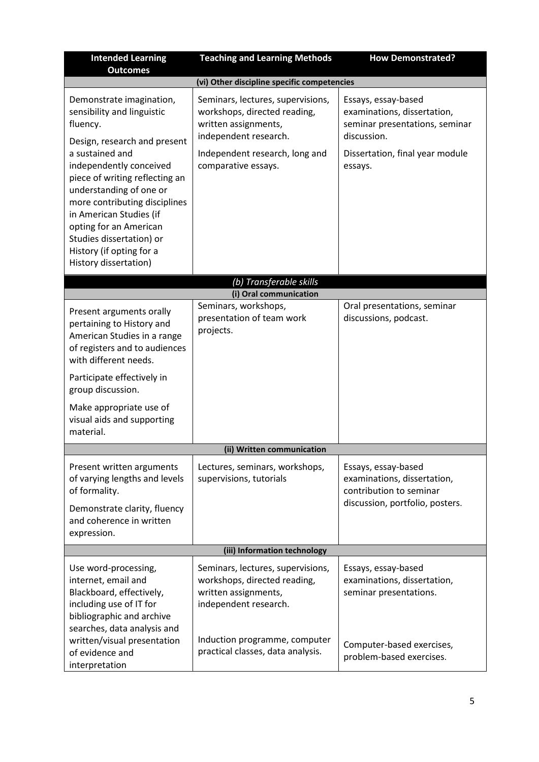| <b>Intended Learning</b><br><b>Outcomes</b>                                                                                                                                                                                                                                                                                                                                          | <b>Teaching and Learning Methods</b>                                                                                                                                                     | <b>How Demonstrated?</b>                                                                                                                          |  |  |  |
|--------------------------------------------------------------------------------------------------------------------------------------------------------------------------------------------------------------------------------------------------------------------------------------------------------------------------------------------------------------------------------------|------------------------------------------------------------------------------------------------------------------------------------------------------------------------------------------|---------------------------------------------------------------------------------------------------------------------------------------------------|--|--|--|
|                                                                                                                                                                                                                                                                                                                                                                                      | (vi) Other discipline specific competencies                                                                                                                                              |                                                                                                                                                   |  |  |  |
| Demonstrate imagination,<br>sensibility and linguistic<br>fluency.<br>Design, research and present<br>a sustained and<br>independently conceived<br>piece of writing reflecting an<br>understanding of one or<br>more contributing disciplines<br>in American Studies (if<br>opting for an American<br>Studies dissertation) or<br>History (if opting for a<br>History dissertation) | Seminars, lectures, supervisions,<br>workshops, directed reading,<br>written assignments,<br>independent research.<br>Independent research, long and<br>comparative essays.              | Essays, essay-based<br>examinations, dissertation,<br>seminar presentations, seminar<br>discussion.<br>Dissertation, final year module<br>essays. |  |  |  |
|                                                                                                                                                                                                                                                                                                                                                                                      | (b) Transferable skills                                                                                                                                                                  |                                                                                                                                                   |  |  |  |
|                                                                                                                                                                                                                                                                                                                                                                                      | (i) Oral communication                                                                                                                                                                   |                                                                                                                                                   |  |  |  |
| Present arguments orally<br>pertaining to History and<br>American Studies in a range<br>of registers and to audiences<br>with different needs.<br>Participate effectively in<br>group discussion.<br>Make appropriate use of<br>visual aids and supporting                                                                                                                           | Seminars, workshops,<br>presentation of team work<br>projects.                                                                                                                           | Oral presentations, seminar<br>discussions, podcast.                                                                                              |  |  |  |
| material.                                                                                                                                                                                                                                                                                                                                                                            |                                                                                                                                                                                          |                                                                                                                                                   |  |  |  |
| (ii) Written communication                                                                                                                                                                                                                                                                                                                                                           |                                                                                                                                                                                          |                                                                                                                                                   |  |  |  |
| Present written arguments<br>of varying lengths and levels<br>of formality.<br>Demonstrate clarity, fluency<br>and coherence in written<br>expression.                                                                                                                                                                                                                               | Lectures, seminars, workshops,<br>supervisions, tutorials                                                                                                                                | Essays, essay-based<br>examinations, dissertation,<br>contribution to seminar<br>discussion, portfolio, posters.                                  |  |  |  |
| (iii) Information technology                                                                                                                                                                                                                                                                                                                                                         |                                                                                                                                                                                          |                                                                                                                                                   |  |  |  |
| Use word-processing,<br>internet, email and<br>Blackboard, effectively,<br>including use of IT for<br>bibliographic and archive<br>searches, data analysis and<br>written/visual presentation<br>of evidence and<br>interpretation                                                                                                                                                   | Seminars, lectures, supervisions,<br>workshops, directed reading,<br>written assignments,<br>independent research.<br>Induction programme, computer<br>practical classes, data analysis. | Essays, essay-based<br>examinations, dissertation,<br>seminar presentations.<br>Computer-based exercises,<br>problem-based exercises.             |  |  |  |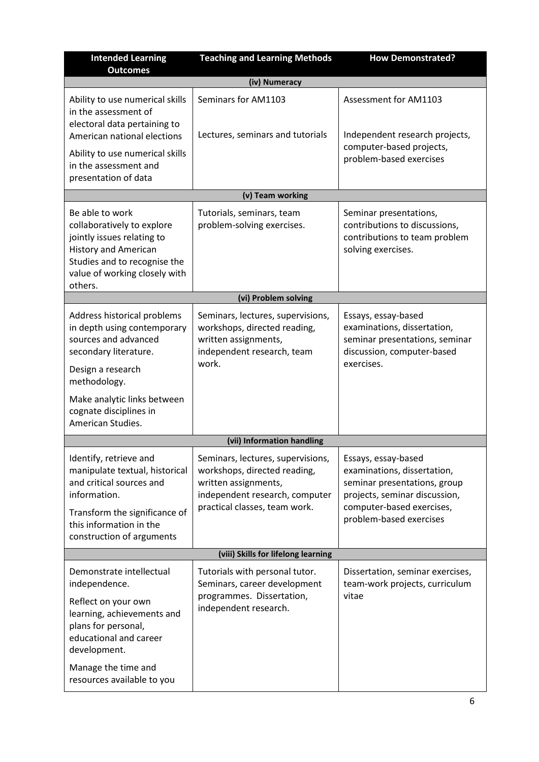| <b>Intended Learning</b><br><b>Outcomes</b>                                                                                                                                                                                                                                                                                                                         | <b>Teaching and Learning Methods</b>                                                                                                                         | <b>How Demonstrated?</b>                                                                                                                                                    |  |  |  |
|---------------------------------------------------------------------------------------------------------------------------------------------------------------------------------------------------------------------------------------------------------------------------------------------------------------------------------------------------------------------|--------------------------------------------------------------------------------------------------------------------------------------------------------------|-----------------------------------------------------------------------------------------------------------------------------------------------------------------------------|--|--|--|
|                                                                                                                                                                                                                                                                                                                                                                     | (iv) Numeracy                                                                                                                                                |                                                                                                                                                                             |  |  |  |
| Ability to use numerical skills<br>in the assessment of<br>electoral data pertaining to<br>American national elections                                                                                                                                                                                                                                              | Seminars for AM1103<br>Lectures, seminars and tutorials                                                                                                      | Assessment for AM1103<br>Independent research projects,                                                                                                                     |  |  |  |
| Ability to use numerical skills<br>in the assessment and<br>presentation of data                                                                                                                                                                                                                                                                                    |                                                                                                                                                              | computer-based projects,<br>problem-based exercises                                                                                                                         |  |  |  |
|                                                                                                                                                                                                                                                                                                                                                                     | (v) Team working                                                                                                                                             |                                                                                                                                                                             |  |  |  |
| Be able to work<br>Tutorials, seminars, team<br>Seminar presentations,<br>problem-solving exercises.<br>contributions to discussions,<br>collaboratively to explore<br>jointly issues relating to<br>contributions to team problem<br><b>History and American</b><br>solving exercises.<br>Studies and to recognise the<br>value of working closely with<br>others. |                                                                                                                                                              |                                                                                                                                                                             |  |  |  |
|                                                                                                                                                                                                                                                                                                                                                                     | (vi) Problem solving                                                                                                                                         |                                                                                                                                                                             |  |  |  |
| Address historical problems<br>in depth using contemporary<br>sources and advanced<br>secondary literature.<br>Design a research<br>methodology.                                                                                                                                                                                                                    | Seminars, lectures, supervisions,<br>workshops, directed reading,<br>written assignments,<br>independent research, team<br>work.                             | Essays, essay-based<br>examinations, dissertation,<br>seminar presentations, seminar<br>discussion, computer-based<br>exercises.                                            |  |  |  |
| Make analytic links between<br>cognate disciplines in<br>American Studies.                                                                                                                                                                                                                                                                                          |                                                                                                                                                              |                                                                                                                                                                             |  |  |  |
|                                                                                                                                                                                                                                                                                                                                                                     | (vii) Information handling                                                                                                                                   |                                                                                                                                                                             |  |  |  |
| Identify, retrieve and<br>manipulate textual, historical<br>and critical sources and<br>information.<br>Transform the significance of<br>this information in the<br>construction of arguments                                                                                                                                                                       | Seminars, lectures, supervisions,<br>workshops, directed reading,<br>written assignments,<br>independent research, computer<br>practical classes, team work. | Essays, essay-based<br>examinations, dissertation,<br>seminar presentations, group<br>projects, seminar discussion,<br>computer-based exercises,<br>problem-based exercises |  |  |  |
| (viii) Skills for lifelong learning                                                                                                                                                                                                                                                                                                                                 |                                                                                                                                                              |                                                                                                                                                                             |  |  |  |
| Demonstrate intellectual<br>independence.<br>Reflect on your own<br>learning, achievements and<br>plans for personal,<br>educational and career<br>development.                                                                                                                                                                                                     | Tutorials with personal tutor.<br>Seminars, career development<br>programmes. Dissertation,<br>independent research.                                         | Dissertation, seminar exercises,<br>team-work projects, curriculum<br>vitae                                                                                                 |  |  |  |
| Manage the time and<br>resources available to you                                                                                                                                                                                                                                                                                                                   |                                                                                                                                                              |                                                                                                                                                                             |  |  |  |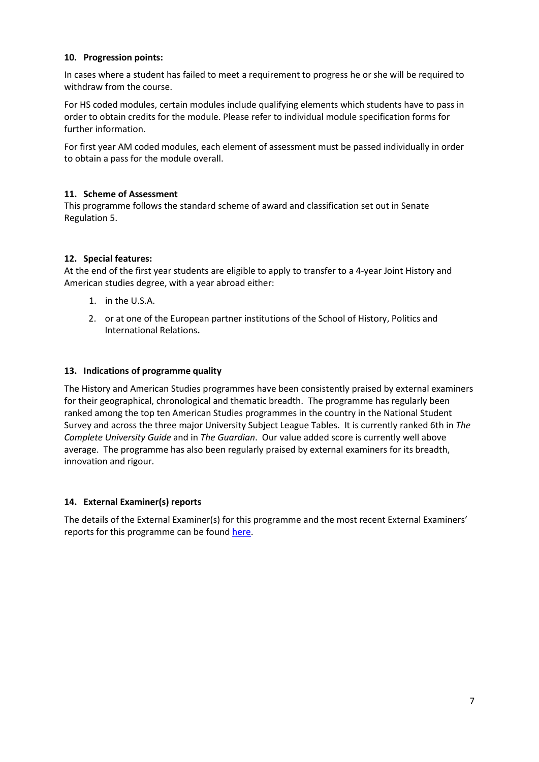## **10. Progression points:**

In cases where a student has failed to meet a requirement to progress he or she will be required to withdraw from the course.

For HS coded modules, certain modules include qualifying elements which students have to pass in order to obtain credits for the module. Please refer to individual module specification forms for further information.

For first year AM coded modules, each element of assessment must be passed individually in order to obtain a pass for the module overall.

## **11. Scheme of Assessment**

This programme follows the standard scheme of award and classification set out in Senate Regulation 5.

# **12. Special features:**

At the end of the first year students are eligible to apply to transfer to a 4-year Joint History and American studies degree, with a year abroad either:

- 1. in the U.S.A.
- 2. or at one of the European partner institutions of the School of History, Politics and International Relations**.**

## **13. Indications of programme quality**

The History and American Studies programmes have been consistently praised by external examiners for their geographical, chronological and thematic breadth. The programme has regularly been ranked among the top ten American Studies programmes in the country in the National Student Survey and across the three major University Subject League Tables. It is currently ranked 6th in *The Complete University Guide* and in *The Guardian*. Our value added score is currently well above average. The programme has also been regularly praised by external examiners for its breadth, innovation and rigour.

# **14. External Examiner(s) reports**

The details of the External Examiner(s) for this programme and the most recent External Examiners' reports for this programme can be foun[d here.](https://exampapers.le.ac.uk/xmlui/)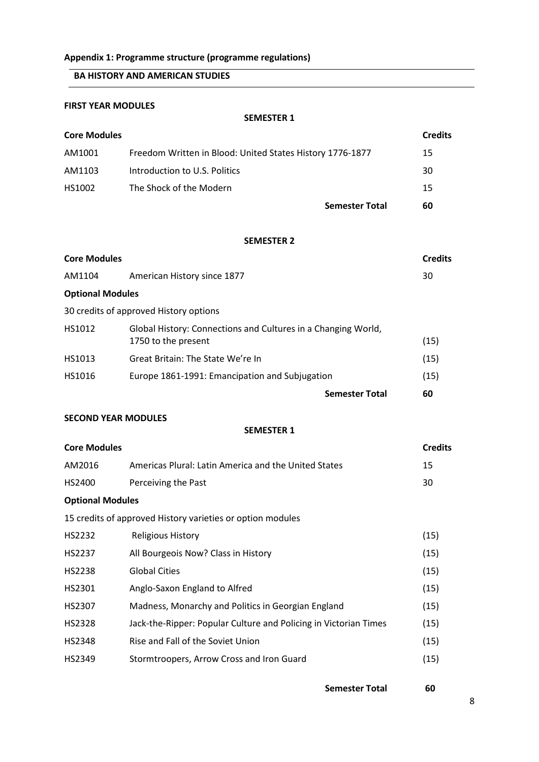# **Appendix 1: Programme structure (programme regulations)**

# **BA HISTORY AND AMERICAN STUDIES**

# **FIRST YEAR MODULES**

**SEMESTER 1**

| <b>Core Modules</b> |                                                           |                       | <b>Credits</b> |
|---------------------|-----------------------------------------------------------|-----------------------|----------------|
| AM1001              | Freedom Written in Blood: United States History 1776-1877 |                       | 15             |
| AM1103              | Introduction to U.S. Politics                             |                       | 30             |
| HS1002              | The Shock of the Modern                                   |                       | 15             |
|                     |                                                           | <b>Semester Total</b> | 60             |

#### **SEMESTER 2**

| <b>Core Modules</b>     |                                                                                      |                       | <b>Credits</b> |
|-------------------------|--------------------------------------------------------------------------------------|-----------------------|----------------|
| AM1104                  | American History since 1877                                                          |                       | 30             |
| <b>Optional Modules</b> |                                                                                      |                       |                |
|                         | 30 credits of approved History options                                               |                       |                |
| HS1012                  | Global History: Connections and Cultures in a Changing World,<br>1750 to the present |                       | (15)           |
| HS1013                  | Great Britain: The State We're In                                                    |                       | (15)           |
| HS1016                  | Europe 1861-1991: Emancipation and Subjugation                                       |                       | (15)           |
|                         |                                                                                      | <b>Semester Total</b> | 60             |

## **SECOND YEAR MODULES**

#### **SEMESTER 1**

| <b>Core Modules</b>     |                                                                  | <b>Credits</b> |
|-------------------------|------------------------------------------------------------------|----------------|
| AM2016                  | Americas Plural: Latin America and the United States             | 15             |
| HS2400                  | Perceiving the Past                                              | 30             |
| <b>Optional Modules</b> |                                                                  |                |
|                         | 15 credits of approved History varieties or option modules       |                |
| HS2232                  | <b>Religious History</b>                                         | (15)           |
| <b>HS2237</b>           | All Bourgeois Now? Class in History                              | (15)           |
| <b>HS2238</b>           | <b>Global Cities</b>                                             | (15)           |
| HS2301                  | Anglo-Saxon England to Alfred                                    | (15)           |
| HS2307                  | Madness, Monarchy and Politics in Georgian England               | (15)           |
| <b>HS2328</b>           | Jack-the-Ripper: Popular Culture and Policing in Victorian Times | (15)           |
| <b>HS2348</b>           | Rise and Fall of the Soviet Union                                | (15)           |
| HS2349                  | Stormtroopers, Arrow Cross and Iron Guard                        | (15)           |
|                         |                                                                  |                |

**Semester Total 60**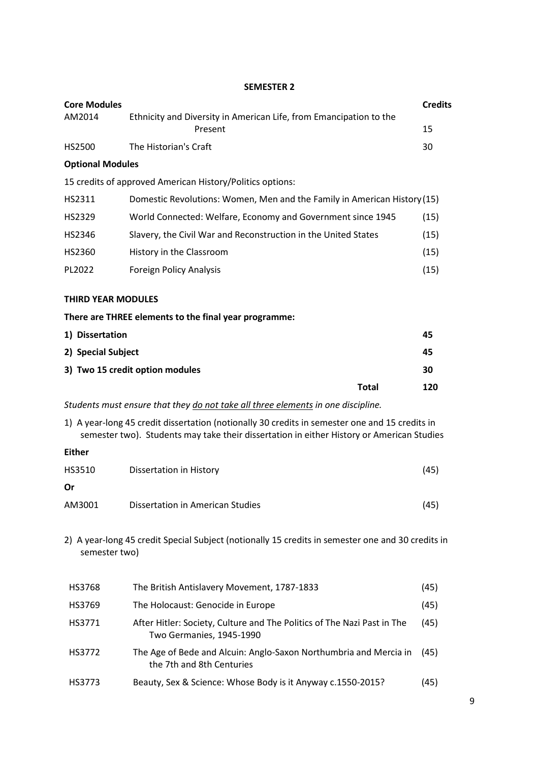## **SEMESTER 2**

| <b>Core Modules</b>                                                                                                                                                                         |                                                                                  |              | <b>Credits</b> |
|---------------------------------------------------------------------------------------------------------------------------------------------------------------------------------------------|----------------------------------------------------------------------------------|--------------|----------------|
| AM2014                                                                                                                                                                                      | Ethnicity and Diversity in American Life, from Emancipation to the<br>Present    |              | 15             |
| HS2500                                                                                                                                                                                      | The Historian's Craft                                                            |              | 30             |
| <b>Optional Modules</b>                                                                                                                                                                     |                                                                                  |              |                |
|                                                                                                                                                                                             | 15 credits of approved American History/Politics options:                        |              |                |
| HS2311                                                                                                                                                                                      | Domestic Revolutions: Women, Men and the Family in American History (15)         |              |                |
| HS2329                                                                                                                                                                                      | World Connected: Welfare, Economy and Government since 1945                      |              | (15)           |
| HS2346                                                                                                                                                                                      | Slavery, the Civil War and Reconstruction in the United States                   |              | (15)           |
| HS2360                                                                                                                                                                                      | History in the Classroom                                                         |              | (15)           |
| PL2022                                                                                                                                                                                      | <b>Foreign Policy Analysis</b>                                                   |              | (15)           |
|                                                                                                                                                                                             |                                                                                  |              |                |
| <b>THIRD YEAR MODULES</b>                                                                                                                                                                   |                                                                                  |              |                |
|                                                                                                                                                                                             | There are THREE elements to the final year programme:                            |              |                |
| 1) Dissertation                                                                                                                                                                             |                                                                                  |              | 45             |
| 2) Special Subject                                                                                                                                                                          |                                                                                  |              | 45             |
|                                                                                                                                                                                             | 3) Two 15 credit option modules                                                  |              | 30             |
|                                                                                                                                                                                             |                                                                                  | <b>Total</b> | 120            |
|                                                                                                                                                                                             | Students must ensure that they do not take all three elements in one discipline. |              |                |
| 1) A year-long 45 credit dissertation (notionally 30 credits in semester one and 15 credits in<br>semester two). Students may take their dissertation in either History or American Studies |                                                                                  |              |                |
| <b>Either</b>                                                                                                                                                                               |                                                                                  |              |                |
| HS3510                                                                                                                                                                                      | <b>Dissertation in History</b>                                                   |              | (45)           |

| <b>Or</b> |                                  |      |
|-----------|----------------------------------|------|
| AM3001    | Dissertation in American Studies | (45) |

2) A year-long 45 credit Special Subject (notionally 15 credits in semester one and 30 credits in semester two)

| HS3768 | The British Antislavery Movement, 1787-1833                                                         | (45) |
|--------|-----------------------------------------------------------------------------------------------------|------|
| HS3769 | The Holocaust: Genocide in Europe                                                                   | (45) |
| HS3771 | After Hitler: Society, Culture and The Politics of The Nazi Past in The<br>Two Germanies, 1945-1990 | (45) |
| HS3772 | The Age of Bede and Alcuin: Anglo-Saxon Northumbria and Mercia in<br>the 7th and 8th Centuries      | (45) |
| HS3773 | Beauty, Sex & Science: Whose Body is it Anyway c.1550-2015?                                         | (45) |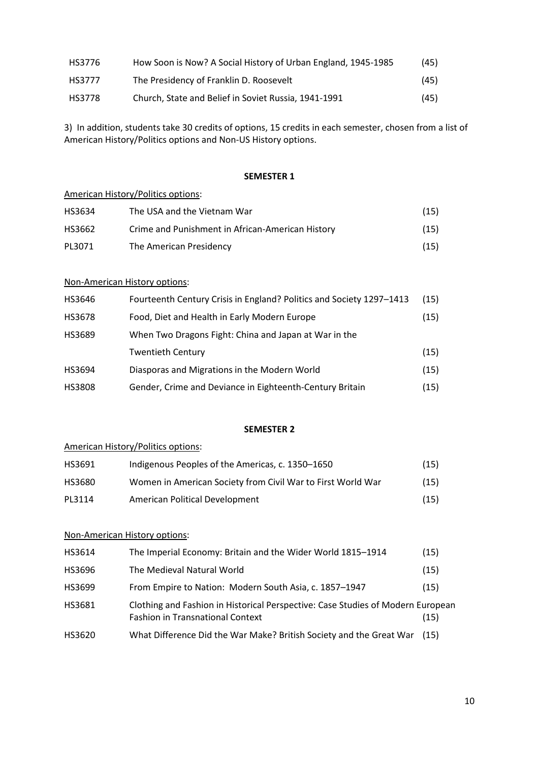| HS3776 | How Soon is Now? A Social History of Urban England, 1945-1985 | (45) |
|--------|---------------------------------------------------------------|------|
| HS3777 | The Presidency of Franklin D. Roosevelt                       | (45) |
| HS3778 | Church, State and Belief in Soviet Russia, 1941-1991          | (45) |

3) In addition, students take 30 credits of options, 15 credits in each semester, chosen from a list of American History/Politics options and Non-US History options.

### **SEMESTER 1**

## American History/Politics options:

| HS3634 | The USA and the Vietnam War                      | (15) |
|--------|--------------------------------------------------|------|
| HS3662 | Crime and Punishment in African-American History | (15) |
| PL3071 | The American Presidency                          | (15) |

## Non-American History options:

| HS3646        | Fourteenth Century Crisis in England? Politics and Society 1297-1413 | (15) |
|---------------|----------------------------------------------------------------------|------|
| HS3678        | Food, Diet and Health in Early Modern Europe                         | (15) |
| HS3689        | When Two Dragons Fight: China and Japan at War in the                |      |
|               | <b>Twentieth Century</b>                                             | (15) |
| HS3694        | Diasporas and Migrations in the Modern World                         | (15) |
| <b>HS3808</b> | Gender, Crime and Deviance in Eighteenth-Century Britain             | (15) |

### **SEMESTER 2**

## American History/Politics options:

| HS3691 | Indigenous Peoples of the Americas, c. 1350–1650            | (15) |
|--------|-------------------------------------------------------------|------|
| HS3680 | Women in American Society from Civil War to First World War | (15) |
| PL3114 | American Political Development                              | (15) |

## Non-American History options:

| HS3614 | The Imperial Economy: Britain and the Wider World 1815-1914                                                                | (15) |
|--------|----------------------------------------------------------------------------------------------------------------------------|------|
| HS3696 | The Medieval Natural World                                                                                                 | (15) |
| HS3699 | From Empire to Nation: Modern South Asia, c. 1857-1947                                                                     | (15) |
| HS3681 | Clothing and Fashion in Historical Perspective: Case Studies of Modern European<br><b>Fashion in Transnational Context</b> | (15) |
| HS3620 | What Difference Did the War Make? British Society and the Great War                                                        | (15) |